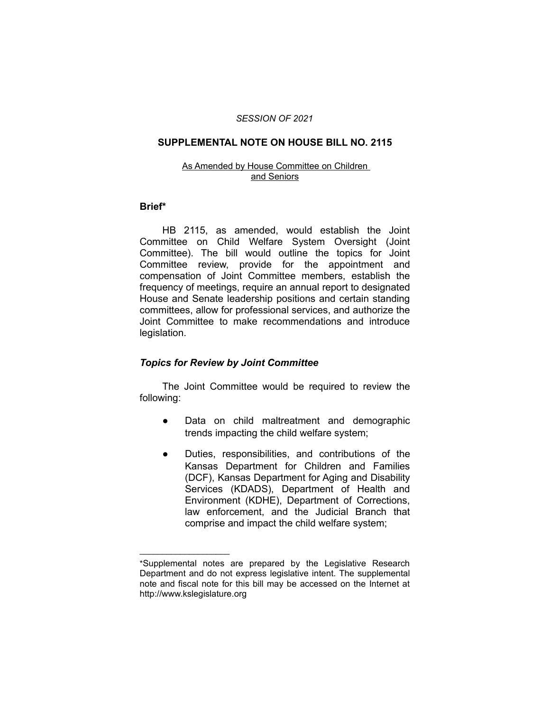#### *SESSION OF 2021*

#### **SUPPLEMENTAL NOTE ON HOUSE BILL NO. 2115**

#### As Amended by House Committee on Children and Seniors

#### **Brief\***

HB 2115, as amended, would establish the Joint Committee on Child Welfare System Oversight (Joint Committee). The bill would outline the topics for Joint Committee review, provide for the appointment and compensation of Joint Committee members, establish the frequency of meetings, require an annual report to designated House and Senate leadership positions and certain standing committees, allow for professional services, and authorize the Joint Committee to make recommendations and introduce legislation.

#### *Topics for Review by Joint Committee*

 $\overline{\phantom{a}}$  , where  $\overline{\phantom{a}}$  , where  $\overline{\phantom{a}}$ 

The Joint Committee would be required to review the following:

- Data on child maltreatment and demographic trends impacting the child welfare system;
- Duties, responsibilities, and contributions of the Kansas Department for Children and Families (DCF), Kansas Department for Aging and Disability Services (KDADS), Department of Health and Environment (KDHE), Department of Corrections, law enforcement, and the Judicial Branch that comprise and impact the child welfare system;

<sup>\*</sup>Supplemental notes are prepared by the Legislative Research Department and do not express legislative intent. The supplemental note and fiscal note for this bill may be accessed on the Internet at http://www.kslegislature.org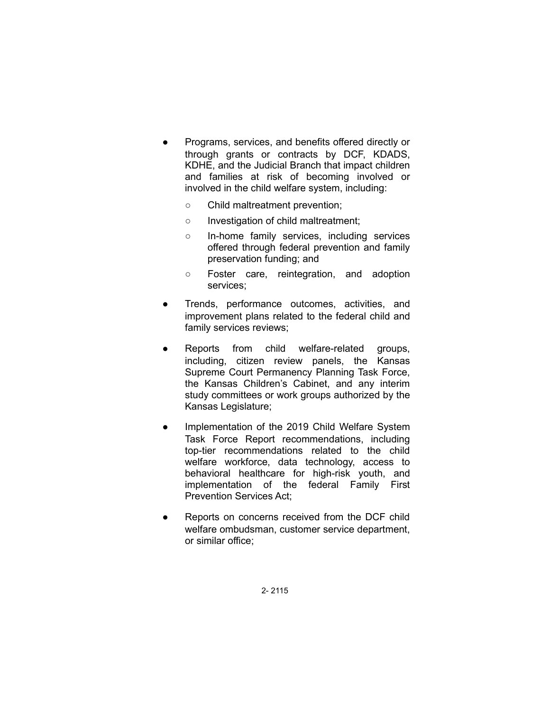- Programs, services, and benefits offered directly or through grants or contracts by DCF, KDADS, KDHE, and the Judicial Branch that impact children and families at risk of becoming involved or involved in the child welfare system, including:
	- Child maltreatment prevention;
	- Investigation of child maltreatment;
	- In-home family services, including services offered through federal prevention and family preservation funding; and
	- Foster care, reintegration, and adoption services;
- Trends, performance outcomes, activities, and improvement plans related to the federal child and family services reviews;
- Reports from child welfare-related groups, including, citizen review panels, the Kansas Supreme Court Permanency Planning Task Force, the Kansas Children's Cabinet, and any interim study committees or work groups authorized by the Kansas Legislature;
- Implementation of the 2019 Child Welfare System Task Force Report recommendations, including top-tier recommendations related to the child welfare workforce, data technology, access to behavioral healthcare for high-risk youth, and implementation of the federal Family First Prevention Services Act;
- Reports on concerns received from the DCF child welfare ombudsman, customer service department, or similar office;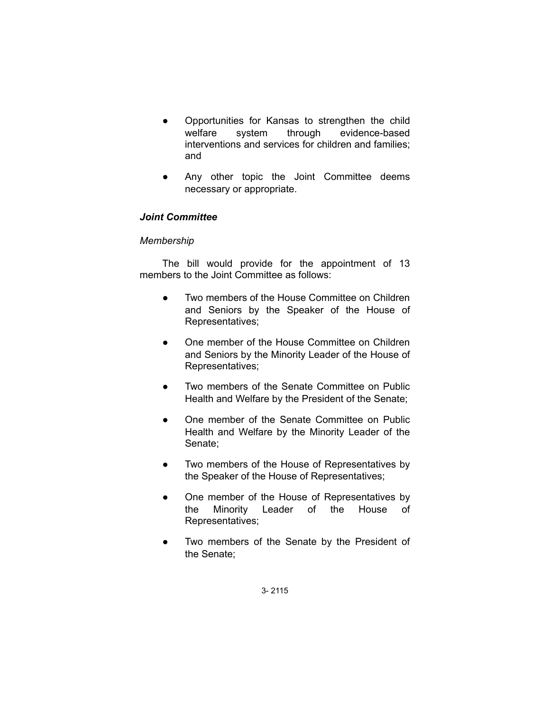- Opportunities for Kansas to strengthen the child welfare system through evidence-based interventions and services for children and families; and
- Any other topic the Joint Committee deems necessary or appropriate.

# *Joint Committee*

# *Membership*

The bill would provide for the appointment of 13 members to the Joint Committee as follows:

- Two members of the House Committee on Children and Seniors by the Speaker of the House of Representatives;
- One member of the House Committee on Children and Seniors by the Minority Leader of the House of Representatives;
- Two members of the Senate Committee on Public Health and Welfare by the President of the Senate;
- One member of the Senate Committee on Public Health and Welfare by the Minority Leader of the Senate;
- Two members of the House of Representatives by the Speaker of the House of Representatives;
- One member of the House of Representatives by the Minority Leader of the House of Representatives;
- Two members of the Senate by the President of the Senate;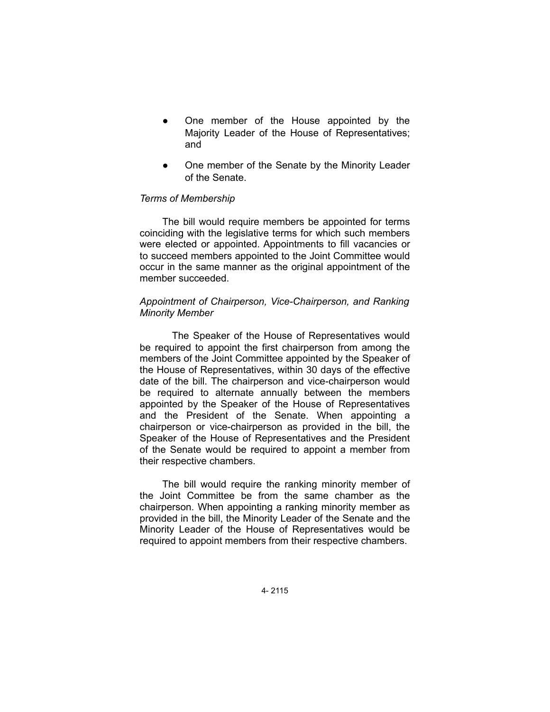- One member of the House appointed by the Majority Leader of the House of Representatives; and
- One member of the Senate by the Minority Leader of the Senate.

## *Terms of Membership*

The bill would require members be appointed for terms coinciding with the legislative terms for which such members were elected or appointed. Appointments to fill vacancies or to succeed members appointed to the Joint Committee would occur in the same manner as the original appointment of the member succeeded.

# *Appointment of Chairperson, Vice-Chairperson, and Ranking Minority Member*

The Speaker of the House of Representatives would be required to appoint the first chairperson from among the members of the Joint Committee appointed by the Speaker of the House of Representatives, within 30 days of the effective date of the bill. The chairperson and vice-chairperson would be required to alternate annually between the members appointed by the Speaker of the House of Representatives and the President of the Senate. When appointing a chairperson or vice-chairperson as provided in the bill, the Speaker of the House of Representatives and the President of the Senate would be required to appoint a member from their respective chambers.

The bill would require the ranking minority member of the Joint Committee be from the same chamber as the chairperson. When appointing a ranking minority member as provided in the bill, the Minority Leader of the Senate and the Minority Leader of the House of Representatives would be required to appoint members from their respective chambers.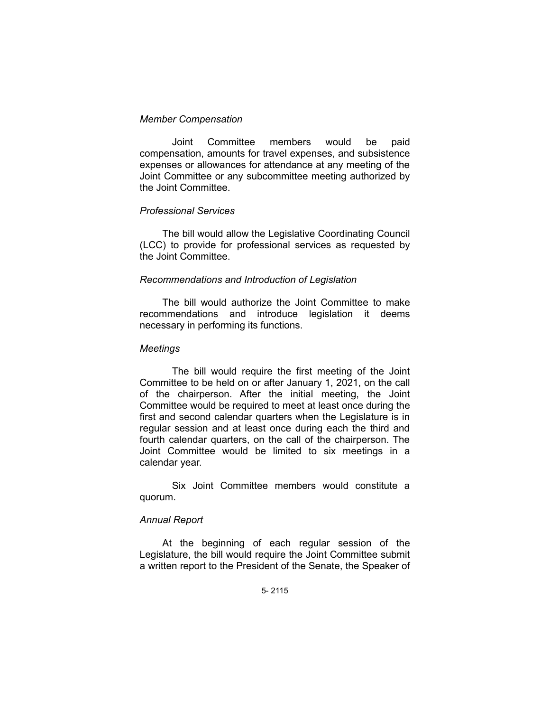## *Member Compensation*

Joint Committee members would be paid compensation, amounts for travel expenses, and subsistence expenses or allowances for attendance at any meeting of the Joint Committee or any subcommittee meeting authorized by the Joint Committee.

# *Professional Services*

The bill would allow the Legislative Coordinating Council (LCC) to provide for professional services as requested by the Joint Committee.

# *Recommendations and Introduction of Legislation*

The bill would authorize the Joint Committee to make recommendations and introduce legislation it deems necessary in performing its functions.

## *Meetings*

The bill would require the first meeting of the Joint Committee to be held on or after January 1, 2021, on the call of the chairperson. After the initial meeting, the Joint Committee would be required to meet at least once during the first and second calendar quarters when the Legislature is in regular session and at least once during each the third and fourth calendar quarters, on the call of the chairperson. The Joint Committee would be limited to six meetings in a calendar year.

Six Joint Committee members would constitute a quorum.

# *Annual Report*

At the beginning of each regular session of the Legislature, the bill would require the Joint Committee submit a written report to the President of the Senate, the Speaker of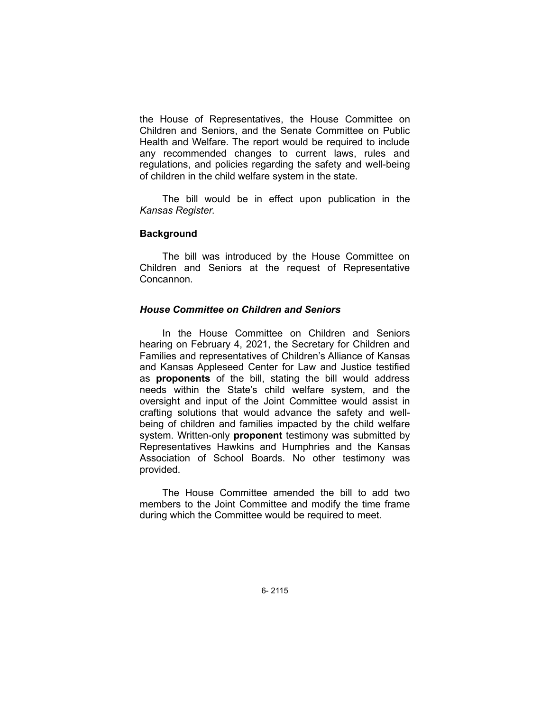the House of Representatives, the House Committee on Children and Seniors, and the Senate Committee on Public Health and Welfare. The report would be required to include any recommended changes to current laws, rules and regulations, and policies regarding the safety and well-being of children in the child welfare system in the state.

The bill would be in effect upon publication in the *Kansas Register*.

## **Background**

The bill was introduced by the House Committee on Children and Seniors at the request of Representative Concannon.

# *House Committee on Children and Seniors*

In the House Committee on Children and Seniors hearing on February 4, 2021, the Secretary for Children and Families and representatives of Children's Alliance of Kansas and Kansas Appleseed Center for Law and Justice testified as **proponents** of the bill, stating the bill would address needs within the State's child welfare system, and the oversight and input of the Joint Committee would assist in crafting solutions that would advance the safety and wellbeing of children and families impacted by the child welfare system. Written-only **proponent** testimony was submitted by Representatives Hawkins and Humphries and the Kansas Association of School Boards. No other testimony was provided.

The House Committee amended the bill to add two members to the Joint Committee and modify the time frame during which the Committee would be required to meet.